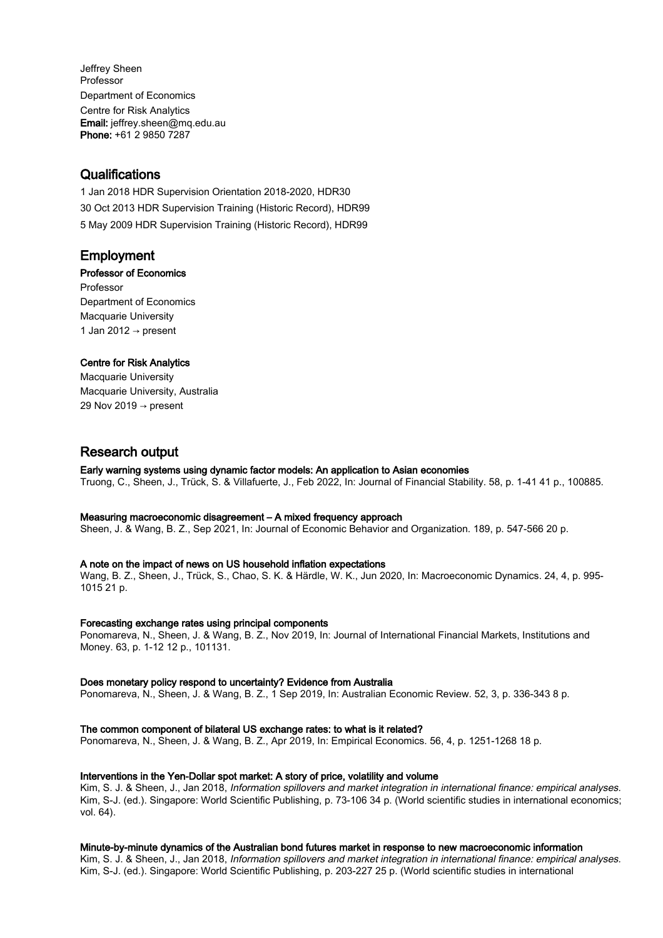Jeffrey Sheen Professor Department of Economics Centre for Risk Analytics Email: jeffrey.sheen@mq.edu.au Phone: +61 2 9850 7287

# **Qualifications**

1 Jan 2018 HDR Supervision Orientation 2018-2020, HDR30 30 Oct 2013 HDR Supervision Training (Historic Record), HDR99 5 May 2009 HDR Supervision Training (Historic Record), HDR99

# Employment

# Professor of Economics

Professor Department of Economics Macquarie University 1 Jan 2012  $\rightarrow$  present

# Centre for Risk Analytics

Macquarie University Macquarie University, Australia 29 Nov 2019  $\rightarrow$  present

# Research output

# Early warning systems using dynamic factor models: An application to Asian economies

Truong, C., Sheen, J., Trück, S. & Villafuerte, J., Feb 2022, In: Journal of Financial Stability. 58, p. 1-41 41 p., 100885.

# Measuring macroeconomic disagreement – A mixed frequency approach

Sheen, J. & Wang, B. Z., Sep 2021, In: Journal of Economic Behavior and Organization. 189, p. 547-566 20 p.

# A note on the impact of news on US household inflation expectations

Wang, B. Z., Sheen, J., Trück, S., Chao, S. K. & Härdle, W. K., Jun 2020, In: Macroeconomic Dynamics. 24, 4, p. 995- 1015 21 p.

#### Forecasting exchange rates using principal components

Ponomareva, N., Sheen, J. & Wang, B. Z., Nov 2019, In: Journal of International Financial Markets, Institutions and Money. 63, p. 1-12 12 p., 101131.

# Does monetary policy respond to uncertainty? Evidence from Australia

Ponomareva, N., Sheen, J. & Wang, B. Z., 1 Sep 2019, In: Australian Economic Review. 52, 3, p. 336-343 8 p.

# The common component of bilateral US exchange rates: to what is it related?

Ponomareva, N., Sheen, J. & Wang, B. Z., Apr 2019, In: Empirical Economics. 56, 4, p. 1251-1268 18 p.

# Interventions in the Yen-Dollar spot market: A story of price, volatility and volume

Kim, S. J. & Sheen, J., Jan 2018, Information spillovers and market integration in international finance: empirical analyses. Kim, S-J. (ed.). Singapore: World Scientific Publishing, p. 73-106 34 p. (World scientific studies in international economics; vol. 64).

# Minute-by-minute dynamics of the Australian bond futures market in response to new macroeconomic information

Kim, S. J. & Sheen, J., Jan 2018, Information spillovers and market integration in international finance: empirical analyses. Kim, S-J. (ed.). Singapore: World Scientific Publishing, p. 203-227 25 p. (World scientific studies in international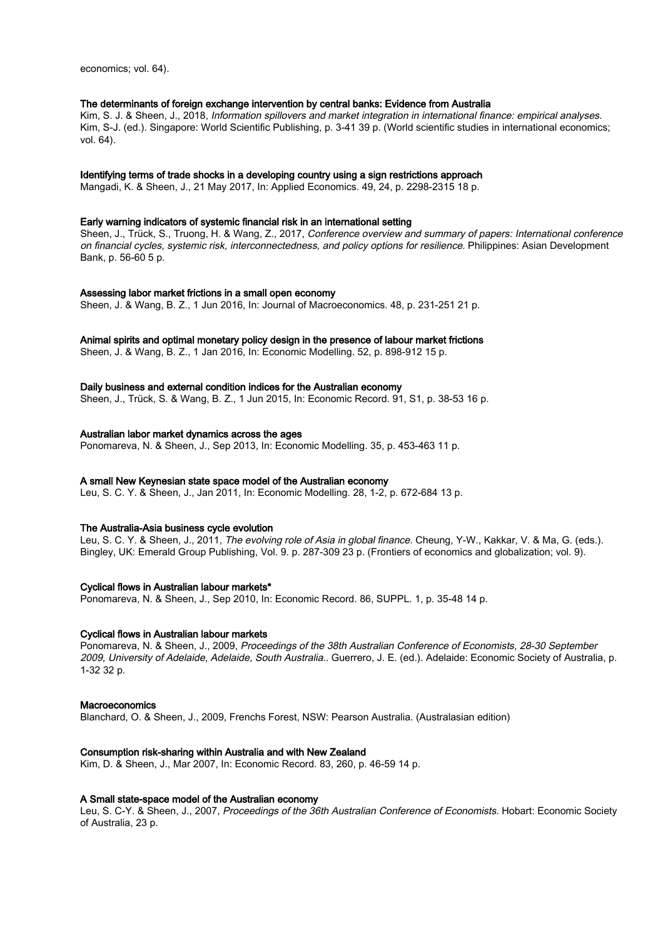economics; vol. 64).

#### The determinants of foreign exchange intervention by central banks: Evidence from Australia

Kim, S. J. & Sheen, J., 2018, Information spillovers and market integration in international finance: empirical analyses. Kim, S-J. (ed.). Singapore: World Scientific Publishing, p. 3-41 39 p. (World scientific studies in international economics; vol. 64).

# Identifying terms of trade shocks in a developing country using a sign restrictions approach

Mangadi, K. & Sheen, J., 21 May 2017, In: Applied Economics. 49, 24, p. 2298-2315 18 p.

#### Early warning indicators of systemic financial risk in an international setting

Sheen, J., Trück, S., Truong, H. & Wang, Z., 2017, Conference overview and summary of papers: International conference on financial cycles, systemic risk, interconnectedness, and policy options for resilience. Philippines: Asian Development Bank, p. 56-60 5 p.

#### Assessing labor market frictions in a small open economy

Sheen, J. & Wang, B. Z., 1 Jun 2016, In: Journal of Macroeconomics. 48, p. 231-251 21 p.

#### Animal spirits and optimal monetary policy design in the presence of labour market frictions

Sheen, J. & Wang, B. Z., 1 Jan 2016, In: Economic Modelling. 52, p. 898-912 15 p.

#### Daily business and external condition indices for the Australian economy

Sheen, J., Trück, S. & Wang, B. Z., 1 Jun 2015, In: Economic Record. 91, S1, p. 38-53 16 p.

#### Australian labor market dynamics across the ages

Ponomareva, N. & Sheen, J., Sep 2013, In: Economic Modelling. 35, p. 453-463 11 p.

#### A small New Keynesian state space model of the Australian economy

Leu, S. C. Y. & Sheen, J., Jan 2011, In: Economic Modelling. 28, 1-2, p. 672-684 13 p.

#### The Australia-Asia business cycle evolution

Leu, S. C. Y. & Sheen, J., 2011, The evolving role of Asia in global finance. Cheung, Y-W., Kakkar, V. & Ma, G. (eds.). Bingley, UK: Emerald Group Publishing, Vol. 9. p. 287-309 23 p. (Frontiers of economics and globalization; vol. 9).

#### Cyclical flows in Australian labour markets\*

Ponomareva, N. & Sheen, J., Sep 2010, In: Economic Record. 86, SUPPL. 1, p. 35-48 14 p.

#### Cyclical flows in Australian labour markets

Ponomareva, N. & Sheen, J., 2009, Proceedings of the 38th Australian Conference of Economists, 28-30 September 2009, University of Adelaide, Adelaide, South Australia.. Guerrero, J. E. (ed.). Adelaide: Economic Society of Australia, p. 1-32 32 p.

# Macroeconomics

Blanchard, O. & Sheen, J., 2009, Frenchs Forest, NSW: Pearson Australia. (Australasian edition)

#### Consumption risk-sharing within Australia and with New Zealand

Kim, D. & Sheen, J., Mar 2007, In: Economic Record. 83, 260, p. 46-59 14 p.

#### A Small state-space model of the Australian economy

Leu, S. C-Y. & Sheen, J., 2007, Proceedings of the 36th Australian Conference of Economists. Hobart: Economic Society of Australia, 23 p.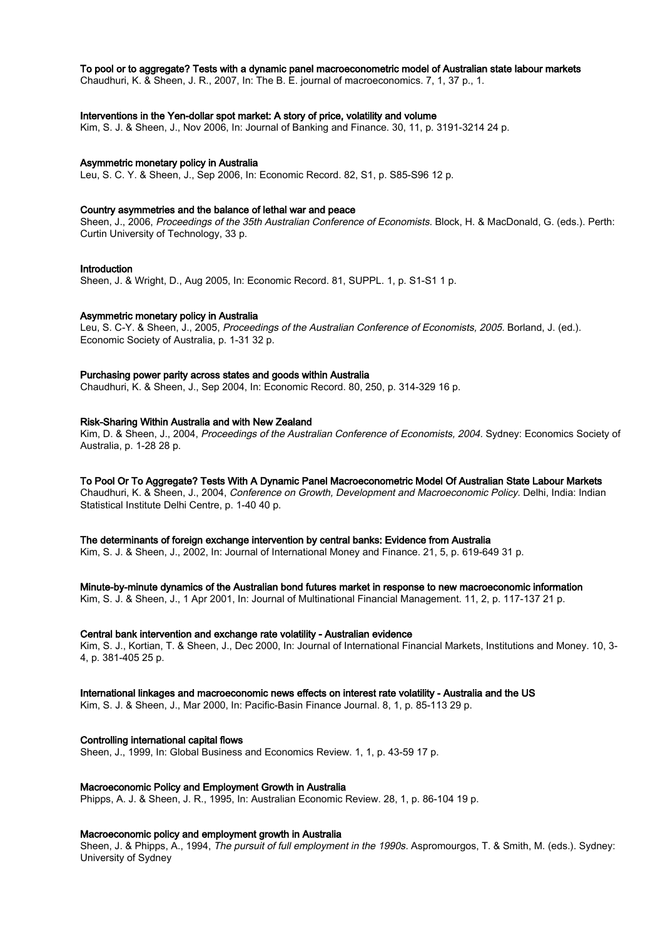# To pool or to aggregate? Tests with a dynamic panel macroeconometric model of Australian state labour markets

Chaudhuri, K. & Sheen, J. R., 2007, In: The B. E. journal of macroeconomics. 7, 1, 37 p., 1.

# Interventions in the Yen-dollar spot market: A story of price, volatility and volume

Kim, S. J. & Sheen, J., Nov 2006, In: Journal of Banking and Finance. 30, 11, p. 3191-3214 24 p.

#### Asymmetric monetary policy in Australia

Leu, S. C. Y. & Sheen, J., Sep 2006, In: Economic Record. 82, S1, p. S85-S96 12 p.

# Country asymmetries and the balance of lethal war and peace

Sheen, J., 2006, Proceedings of the 35th Australian Conference of Economists. Block, H. & MacDonald, G. (eds.). Perth: Curtin University of Technology, 33 p.

#### Introduction

Sheen, J. & Wright, D., Aug 2005, In: Economic Record. 81, SUPPL. 1, p. S1-S1 1 p.

#### Asymmetric monetary policy in Australia

Leu, S. C-Y. & Sheen, J., 2005, Proceedings of the Australian Conference of Economists, 2005. Borland, J. (ed.). Economic Society of Australia, p. 1-31 32 p.

#### Purchasing power parity across states and goods within Australia

Chaudhuri, K. & Sheen, J., Sep 2004, In: Economic Record. 80, 250, p. 314-329 16 p.

### Risk-Sharing Within Australia and with New Zealand

Kim, D. & Sheen, J., 2004, Proceedings of the Australian Conference of Economists, 2004. Sydney: Economics Society of Australia, p. 1-28 28 p.

# To Pool Or To Aggregate? Tests With A Dynamic Panel Macroeconometric Model Of Australian State Labour Markets

Chaudhuri, K. & Sheen, J., 2004, Conference on Growth, Development and Macroeconomic Policy. Delhi, India: Indian Statistical Institute Delhi Centre, p. 1-40 40 p.

#### The determinants of foreign exchange intervention by central banks: Evidence from Australia

Kim, S. J. & Sheen, J., 2002, In: Journal of International Money and Finance. 21, 5, p. 619-649 31 p.

Minute-by-minute dynamics of the Australian bond futures market in response to new macroeconomic information Kim, S. J. & Sheen, J., 1 Apr 2001, In: Journal of Multinational Financial Management. 11, 2, p. 117-137 21 p.

# Central bank intervention and exchange rate volatility - Australian evidence

Kim, S. J., Kortian, T. & Sheen, J., Dec 2000, In: Journal of International Financial Markets, Institutions and Money. 10, 3- 4, p. 381-405 25 p.

#### International linkages and macroeconomic news effects on interest rate volatility - Australia and the US

Kim, S. J. & Sheen, J., Mar 2000, In: Pacific-Basin Finance Journal. 8, 1, p. 85-113 29 p.

#### Controlling international capital flows

Sheen, J., 1999, In: Global Business and Economics Review. 1, 1, p. 43-59 17 p.

#### Macroeconomic Policy and Employment Growth in Australia

Phipps, A. J. & Sheen, J. R., 1995, In: Australian Economic Review. 28, 1, p. 86-104 19 p.

# Macroeconomic policy and employment growth in Australia

Sheen, J. & Phipps, A., 1994, The pursuit of full employment in the 1990s. Aspromourgos, T. & Smith, M. (eds.). Sydney: University of Sydney